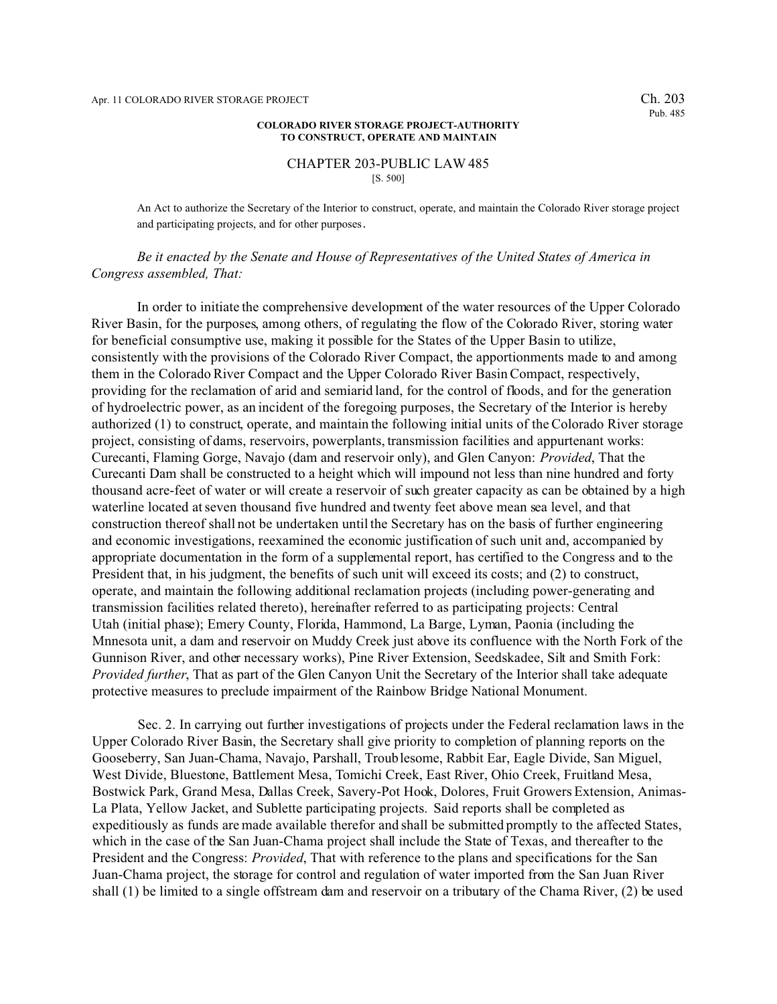## Apr. 11 COLORADO RIVER STORAGE PROJECT Ch. 203

## **COLORADO RIVER STORAGE PROJECT-AUTHORITY TO CONSTRUCT, OPERATE AND MAINTAIN**

## CHAPTER 203-PUBLIC LAW 485 [S. 500]

An Act to authorize the Secretary of the Interior to construct, operate, and maintain the Colorado River storage project and participating projects, and for other purposes.

*Be it enacted by the Senate and House of Representatives of the United States of America in Congress assembled, That:*

In order to initiate the comprehensive development of the water resources of the Upper Colorado River Basin, for the purposes, among others, of regulating the flow of the Colorado River, storing water for beneficial consumptive use, making it possible for the States of the Upper Basin to utilize, consistently with the provisions of the Colorado River Compact, the apportionments made to and among them in the Colorado River Compact and the Upper Colorado River Basin Compact, respectively, providing for the reclamation of arid and semiarid land, for the control of floods, and for the generation of hydroelectric power, as an incident of the foregoing purposes, the Secretary of the Interior is hereby authorized (1) to construct, operate, and maintain the following initial units of the Colorado River storage project, consisting of dams, reservoirs, powerplants, transmission facilities and appurtenant works: Curecanti, Flaming Gorge, Navajo (dam and reservoir only), and Glen Canyon: *Provided*, That the Curecanti Dam shall be constructed to a height which will impound not less than nine hundred and forty thousand acre-feet of water or will create a reservoir of such greater capacity as can be obtained by a high waterline located at seven thousand five hundred and twenty feet above mean sea level, and that construction thereof shall not be undertaken until the Secretary has on the basis of further engineering and economic investigations, reexamined the economic justification of such unit and, accompanied by appropriate documentation in the form of a supplemental report, has certified to the Congress and to the President that, in his judgment, the benefits of such unit will exceed its costs; and (2) to construct, operate, and maintain the following additional reclamation projects (including power-generating and transmission facilities related thereto), hereinafter referred to as participating projects: Central Utah (initial phase); Emery County, Florida, Hammond, La Barge, Lyman, Paonia (including the Mnnesota unit, a dam and reservoir on Muddy Creek just above its confluence with the North Fork of the Gunnison River, and other necessary works), Pine River Extension, Seedskadee, Silt and Smith Fork: *Provided further*, That as part of the Glen Canyon Unit the Secretary of the Interior shall take adequate protective measures to preclude impairment of the Rainbow Bridge National Monument.

Sec. 2. In carrying out further investigations of projects under the Federal reclamation laws in the Upper Colorado River Basin, the Secretary shall give priority to completion of planning reports on the Gooseberry, San Juan-Chama, Navajo, Parshall, Troublesome, Rabbit Ear, Eagle Divide, San Miguel, West Divide, Bluestone, Battlement Mesa, Tomichi Creek, East River, Ohio Creek, Fruitland Mesa, Bostwick Park, Grand Mesa, Dallas Creek, Savery-Pot Hook, Dolores, Fruit Growers Extension, Animas-La Plata, Yellow Jacket, and Sublette participating projects. Said reports shall be completed as expeditiously as funds are made available therefor and shall be submitted promptly to the affected States, which in the case of the San Juan-Chama project shall include the State of Texas, and thereafter to the President and the Congress: *Provided*, That with reference to the plans and specifications for the San Juan-Chama project, the storage for control and regulation of water imported from the San Juan River shall (1) be limited to a single offstream dam and reservoir on a tributary of the Chama River, (2) be used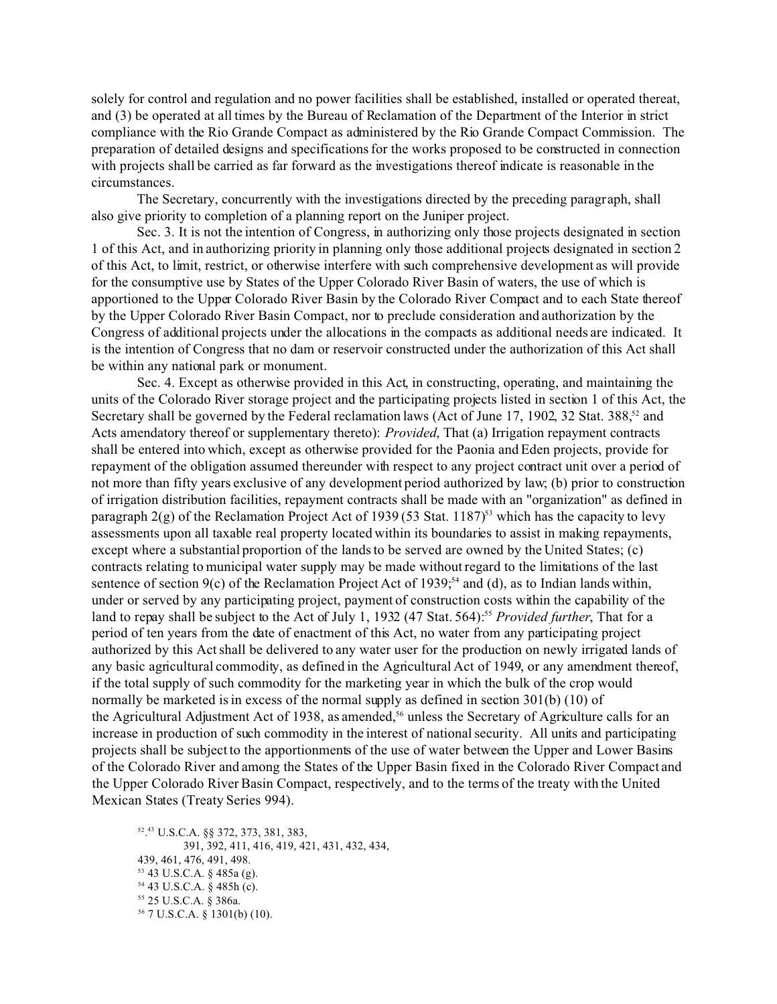solely for control and regulation and no power facilities shall be established, installed or operated thereat, and (3) be operated at all times by the Bureau of Reclamation of the Department of the Interior in strict compliance with the Rio Grande Compact as administered by the Rio Grande Compact Commission. The preparation of detailed designs and specifications for the works proposed to be constructed in connection with projects shall be carried as far forward as the investigations thereof indicate is reasonable in the circumstances.

The Secretary, concurrently with the investigations directed by the preceding paragraph, shall also give priority to completion of a planning report on the Juniper project.

Sec. 3. It is not the intention of Congress, in authorizing only those projects designated in section 1 of this Act, and in authorizing priority in planning only those additional projects designated in section 2 of this Act, to limit, restrict, or otherwise interfere with such comprehensive development as will provide for the consumptive use by States of the Upper Colorado River Basin of waters, the use of which is apportioned to the Upper Colorado River Basin by the Colorado River Compact and to each State thereof by the Upper Colorado River Basin Compact, nor to preclude consideration and authorization by the Congress of additional projects under the allocations in the compacts as additional needs are indicated. It is the intention of Congress that no dam or reservoir constructed under the authorization of this Act shall be within any national park or monument.

Sec. 4. Except as otherwise provided in this Act, in constructing, operating, and maintaining the units of the Colorado River storage project and the participating projects listed in section 1 of this Act, the Secretary shall be governed by the Federal reclamation laws (Act of June 17, 1902, 32 Stat. 388,<sup>52</sup> and Acts amendatory thereof or supplementary thereto): *Provided*, That (a) Irrigation repayment contracts shall be entered into which, except as otherwise provided for the Paonia and Eden projects, provide for repayment of the obligation assumed thereunder with respect to any project contract unit over a period of not more than fifty years exclusive of any development period authorized by law; (b) prior to construction of irrigation distribution facilities, repayment contracts shall be made with an "organization" as defined in paragraph  $2(g)$  of the Reclamation Project Act of 1939 (53 Stat. 1187)<sup>53</sup> which has the capacity to levy assessments upon all taxable real property located within its boundaries to assist in making repayments, except where a substantial proportion of the lands to be served are owned by the United States; (c) contracts relating to municipal water supply may be made without regard to the limitations of the last sentence of section  $9(c)$  of the Reclamation Project Act of 1939;<sup>54</sup> and (d), as to Indian lands within, under or served by any participating project, payment of construction costs within the capability of the land to repay shall be subject to the Act of July 1, 1932 (47 Stat. 564):<sup>55</sup> *Provided further*, That for a period of ten years from the date of enactment of this Act, no water from any participating project authorized by this Act shall be delivered to any water user for the production on newly irrigated lands of any basic agricultural commodity, as defined in the Agricultural Act of 1949, or any amendment thereof, if the total supply of such commodity for the marketing year in which the bulk of the crop would normally be marketed is in excess of the normal supply as defined in section 301(b) (10) of the Agricultural Adjustment Act of 1938, as amended,<sup>56</sup> unless the Secretary of Agriculture calls for an increase in production of such commodity in the interest of national security. All units and participating projects shall be subject to the apportionments of the use of water between the Upper and Lower Basins of the Colorado River and among the States of the Upper Basin fixed in the Colorado River Compact and the Upper Colorado River Basin Compact, respectively, and to the terms of the treaty with the United Mexican States (Treaty Series 994).

 . <sup>43</sup> U.S.C.A. §§ 372, 373, 381, 383, 391, 392, 411, 416, 419, 421, 431, 432, 434, 439, 461, 476, 491, 498. 43 U.S.C.A. § 485a (g). 43 U.S.C.A. § 485h (c). 25 U.S.C.A. § 386a. 7 U.S.C.A. § 1301(b) (10).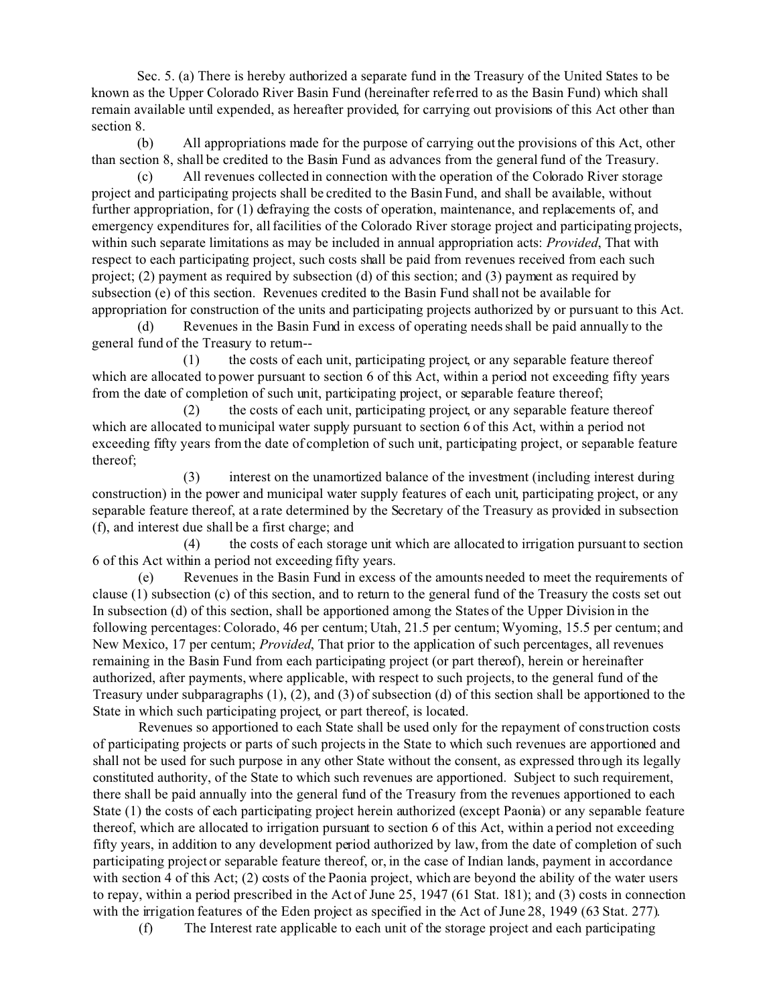Sec. 5. (a) There is hereby authorized a separate fund in the Treasury of the United States to be known as the Upper Colorado River Basin Fund (hereinafter referred to as the Basin Fund) which shall remain available until expended, as hereafter provided, for carrying out provisions of this Act other than section 8.

(b) All appropriations made for the purpose of carrying out the provisions of this Act, other than section 8, shall be credited to the Basin Fund as advances from the general fund of the Treasury.

(c) All revenues collected in connection with the operation of the Colorado River storage project and participating projects shall be credited to the Basin Fund, and shall be available, without further appropriation, for (1) defraying the costs of operation, maintenance, and replacements of, and emergency expenditures for, all facilities of the Colorado River storage project and participating projects, within such separate limitations as may be included in annual appropriation acts: *Provided*, That with respect to each participating project, such costs shall be paid from revenues received from each such project;  $(2)$  payment as required by subsection  $(d)$  of this section; and  $(3)$  payment as required by subsection (e) of this section. Revenues credited to the Basin Fund shall not be available for appropriation for construction of the units and participating projects authorized by or pursuant to this Act.

(d) Revenues in the Basin Fund in excess of operating needs shall be paid annually to the general fund of the Treasury to return--

(1) the costs of each unit, participating project, or any separable feature thereof which are allocated to power pursuant to section 6 of this Act, within a period not exceeding fifty years from the date of completion of such unit, participating project, or separable feature thereof;

(2) the costs of each unit, participating project, or any separable feature thereof which are allocated to municipal water supply pursuant to section 6 of this Act, within a period not exceeding fifty years from the date of completion of such unit, participating project, or separable feature thereof;

(3) interest on the unamortized balance of the investment (including interest during construction) in the power and municipal water supply features of each unit, participating project, or any separable feature thereof, at a rate determined by the Secretary of the Treasury as provided in subsection (f), and interest due shall be a first charge; and

(4) the costs of each storage unit which are allocated to irrigation pursuant to section 6 of this Act within a period not exceeding fifty years.

(e) Revenues in the Basin Fund in excess of the amounts needed to meet the requirements of clause (1) subsection (c) of this section, and to return to the general fund of the Treasury the costs set out In subsection (d) of this section, shall be apportioned among the States of the Upper Division in the following percentages: Colorado, 46 per centum; Utah, 21.5 per centum; Wyoming, 15.5 per centum; and New Mexico, 17 per centum; *Provided*, That prior to the application of such percentages, all revenues remaining in the Basin Fund from each participating project (or part thereof), herein or hereinafter authorized, after payments, where applicable, with respect to such projects, to the general fund of the Treasury under subparagraphs (1), (2), and (3) of subsection (d) of this section shall be apportioned to the State in which such participating project, or part thereof, is located.

Revenues so apportioned to each State shall be used only for the repayment of construction costs of participating projects or parts of such projects in the State to which such revenues are apportioned and shall not be used for such purpose in any other State without the consent, as expressed through its legally constituted authority, of the State to which such revenues are apportioned. Subject to such requirement, there shall be paid annually into the general fund of the Treasury from the revenues apportioned to each State (1) the costs of each participating project herein authorized (except Paonia) or any separable feature thereof, which are allocated to irrigation pursuant to section 6 of this Act, within a period not exceeding fifty years, in addition to any development period authorized by law, from the date of completion of such participating project or separable feature thereof, or, in the case of Indian lands, payment in accordance with section 4 of this Act; (2) costs of the Paonia project, which are beyond the ability of the water users to repay, within a period prescribed in the Act of June 25, 1947 (61 Stat. 181); and (3) costs in connection with the irrigation features of the Eden project as specified in the Act of June 28, 1949 (63 Stat. 277).

(f) The Interest rate applicable to each unit of the storage project and each participating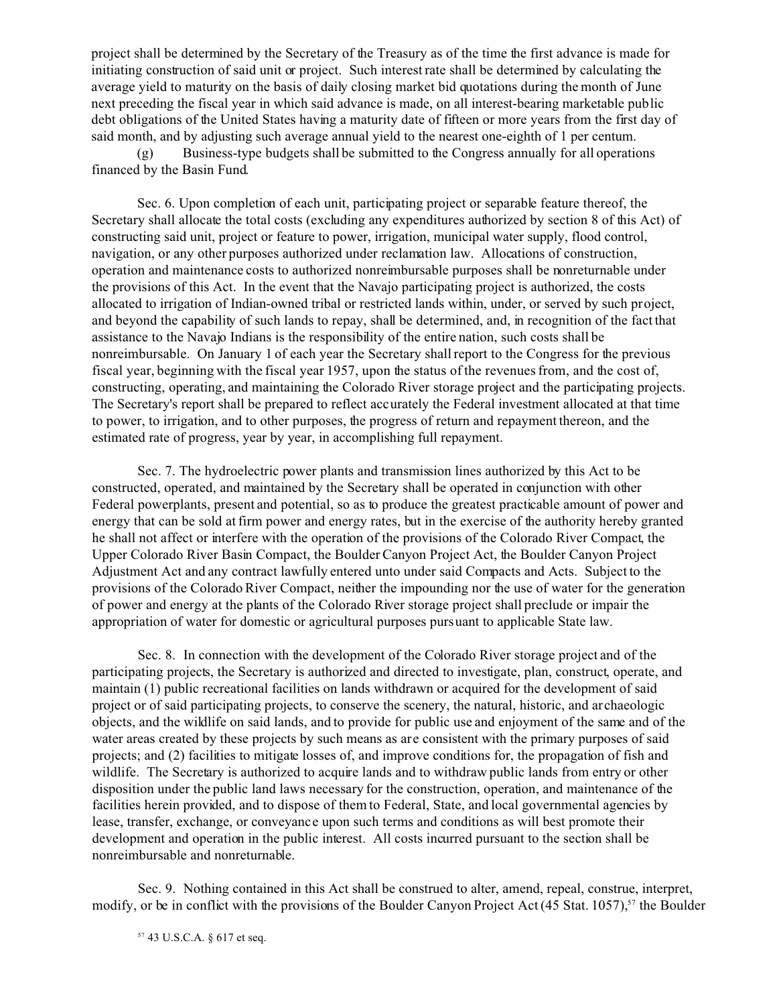project shall be determined by the Secretary of the Treasury as of the time the first advance is made for initiating construction of said unit or project. Such interest rate shall be determined by calculating the average yield to maturity on the basis of daily closing market bid quotations during the month of June next preceding the fiscal year in which said advance is made, on all interest-bearing marketable public debt obligations of the United States having a maturity date of fifteen or more years from the first day of said month, and by adjusting such average annual yield to the nearest one-eighth of 1 per centum.

(g) Business-type budgets shall be submitted to the Congress annually for all operations financed by the Basin Fund.

Sec. 6. Upon completion of each unit, participating project or separable feature thereof, the Secretary shall allocate the total costs (excluding any expenditures authorized by section 8 of this Act) of constructing said unit, project or feature to power, irrigation, municipal water supply, flood control, navigation, or any other purposes authorized under reclamation law. Allocations of construction, operation and maintenance costs to authorized nonreimbursable purposes shall be nonreturnable under the provisions of this Act. In the event that the Navajo participating project is authorized, the costs allocated to irrigation of Indian-owned tribal or restricted lands within, under, or served by such project, and beyond the capability of such lands to repay, shall be determined, and, in recognition of the fact that assistance to the Navajo Indians is the responsibility of the entire nation, such costs shall be nonreimbursable. On January 1 of each year the Secretary shall report to the Congress for the previous fiscal year, beginning with the fiscal year 1957, upon the status of the revenues from, and the cost of, constructing, operating, and maintaining the Colorado River storage project and the participating projects. The Secretary's report shall be prepared to reflect accurately the Federal investment allocated at that time to power, to irrigation, and to other purposes, the progress of return and repayment thereon, and the estimated rate of progress, year by year, in accomplishing full repayment.

Sec. 7. The hydroelectric power plants and transmission lines authorized by this Act to be constructed, operated, and maintained by the Secretary shall be operated in conjunction with other Federal powerplants, present and potential, so as to produce the greatest practicable amount of power and energy that can be sold at firm power and energy rates, but in the exercise of the authority hereby granted he shall not affect or interfere with the operation of the provisions of the Colorado River Compact, the Upper Colorado River Basin Compact, the Boulder Canyon Project Act, the Boulder Canyon Project Adjustment Act and any contract lawfully entered unto under said Compacts and Acts. Subject to the provisions of the Colorado River Compact, neither the impounding nor the use of water for the generation of power and energy at the plants of the Colorado River storage project shall preclude or impair the appropriation of water for domestic or agricultural purposes pursuant to applicable State law.

Sec. 8. In connection with the development of the Colorado River storage project and of the participating projects, the Secretary is authorized and directed to investigate, plan, construct, operate, and maintain (1) public recreational facilities on lands withdrawn or acquired for the development of said project or of said participating projects, to conserve the scenery, the natural, historic, and archaeologic objects, and the wildlife on said lands, and to provide for public use and enjoyment of the same and of the water areas created by these projects by such means as are consistent with the primary purposes of said projects; and (2) facilities to mitigate losses of, and improve conditions for, the propagation of fish and wildlife. The Secretary is authorized to acquire lands and to withdraw public lands from entry or other disposition under the public land laws necessary for the construction, operation, and maintenance of the facilities herein provided, and to dispose of them to Federal, State, and local governmental agencies by lease, transfer, exchange, or conveyance upon such terms and conditions as will best promote their development and operation in the public interest. All costs incurred pursuant to the section shall be nonreimbursable and nonreturnable.

Sec. 9. Nothing contained in this Act shall be construed to alter, amend, repeal, construe, interpret, modify, or be in conflict with the provisions of the Boulder Canyon Project Act (45 Stat. 1057),<sup>57</sup> the Boulder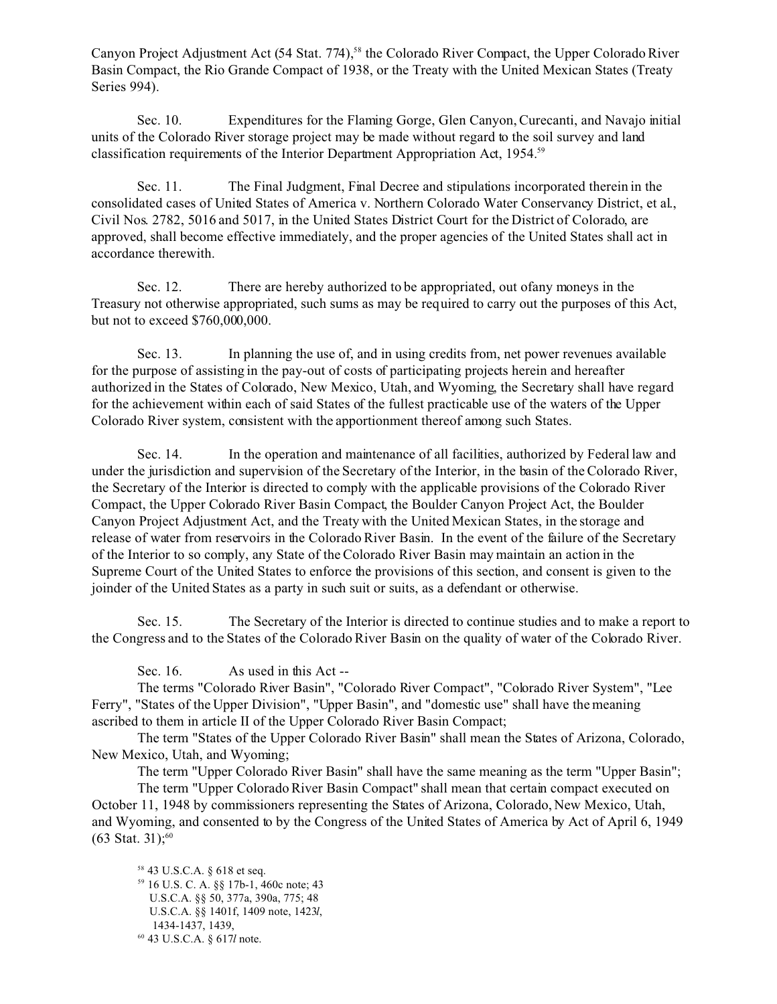Canyon Project Adjustment Act (54 Stat. 774),<sup>58</sup> the Colorado River Compact, the Upper Colorado River Basin Compact, the Rio Grande Compact of 1938, or the Treaty with the United Mexican States (Treaty Series 994).

Sec. 10. Expenditures for the Flaming Gorge, Glen Canyon, Curecanti, and Navajo initial units of the Colorado River storage project may be made without regard to the soil survey and land classification requirements of the Interior Department Appropriation Act, 1954.<sup>59</sup>

Sec. 11. The Final Judgment, Final Decree and stipulations incorporated therein in the consolidated cases of United States of America v. Northern Colorado Water Conservancy District, et al., Civil Nos. 2782, 5016 and 5017, in the United States District Court for the District of Colorado, are approved, shall become effective immediately, and the proper agencies of the United States shall act in accordance therewith.

Sec. 12. There are hereby authorized to be appropriated, out ofany moneys in the Treasury not otherwise appropriated, such sums as may be required to carry out the purposes of this Act, but not to exceed \$760,000,000.

Sec. 13. In planning the use of, and in using credits from, net power revenues available for the purpose of assisting in the pay-out of costs of participating projects herein and hereafter authorized in the States of Colorado, New Mexico, Utah, and Wyoming, the Secretary shall have regard for the achievement within each of said States of the fullest practicable use of the waters of the Upper Colorado River system, consistent with the apportionment thereof among such States.

Sec. 14. In the operation and maintenance of all facilities, authorized by Federal law and under the jurisdiction and supervision of the Secretary of the Interior, in the basin of the Colorado River, the Secretary of the Interior is directed to comply with the applicable provisions of the Colorado River Compact, the Upper Colorado River Basin Compact, the Boulder Canyon Project Act, the Boulder Canyon Project Adjustment Act, and the Treaty with the United Mexican States, in the storage and release of water from reservoirs in the Colorado River Basin. In the event of the failure of the Secretary of the Interior to so comply, any State of the Colorado River Basin may maintain an action in the Supreme Court of the United States to enforce the provisions of this section, and consent is given to the joinder of the United States as a party in such suit or suits, as a defendant or otherwise.

Sec. 15. The Secretary of the Interior is directed to continue studies and to make a report to the Congress and to the States of the Colorado River Basin on the quality of water of the Colorado River.

Sec. 16. As used in this Act --

The terms "Colorado River Basin", "Colorado River Compact", "Colorado River System", "Lee Ferry", "States of the Upper Division", "Upper Basin", and "domestic use" shall have the meaning ascribed to them in article II of the Upper Colorado River Basin Compact;

The term "States of the Upper Colorado River Basin" shall mean the States of Arizona, Colorado, New Mexico, Utah, and Wyoming;

The term "Upper Colorado River Basin" shall have the same meaning as the term "Upper Basin";

The term "Upper Colorado River Basin Compact" shall mean that certain compact executed on October 11, 1948 by commissioners representing the States of Arizona, Colorado, New Mexico, Utah, and Wyoming, and consented to by the Congress of the United States of America by Act of April 6, 1949  $(63 \text{ Stat. } 31);^{60}$ 

<sup>58</sup> 43 U.S.C.A. § 618 et seq.

<sup>59</sup> 16 U.S. C. A. §§ 17b-1, 460c note; 43 U.S.C.A. §§ 50, 377a, 390a, 775; 48 U.S.C.A. §§ 1401f, 1409 note, 1423*l*, 1434-1437, 1439,

<sup>60</sup> 43 U.S.C.A. § 617*l* note.